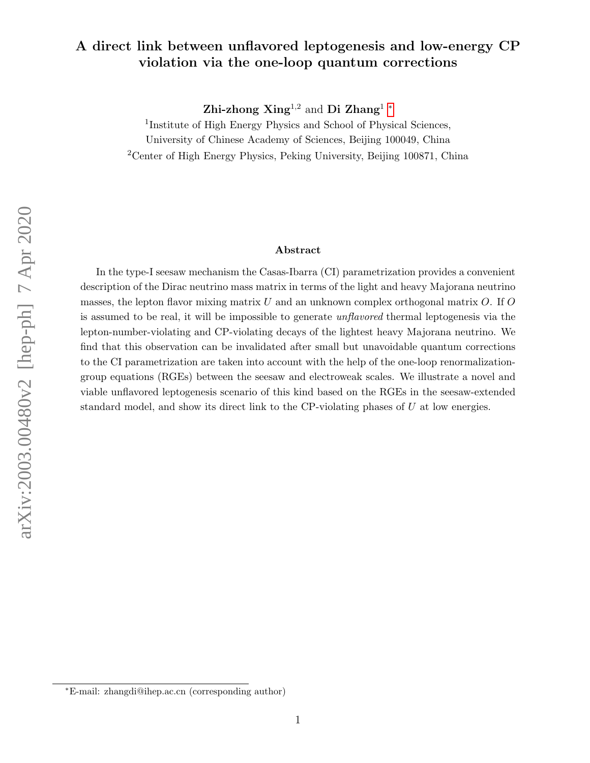#### A direct link between unflavored leptogenesis and low-energy CP violation via the one-loop quantum corrections

Zhi-zhong Xing<sup>1,2</sup> and Di Zhang<sup>1</sup>  $^*$ 

<sup>1</sup>Institute of High Energy Physics and School of Physical Sciences, University of Chinese Academy of Sciences, Beijing 100049, China <sup>2</sup>Center of High Energy Physics, Peking University, Beijing 100871, China

#### Abstract

In the type-I seesaw mechanism the Casas-Ibarra (CI) parametrization provides a convenient description of the Dirac neutrino mass matrix in terms of the light and heavy Majorana neutrino masses, the lepton flavor mixing matrix  $U$  and an unknown complex orthogonal matrix  $O$ . If  $O$ is assumed to be real, it will be impossible to generate unflavored thermal leptogenesis via the lepton-number-violating and CP-violating decays of the lightest heavy Majorana neutrino. We find that this observation can be invalidated after small but unavoidable quantum corrections to the CI parametrization are taken into account with the help of the one-loop renormalizationgroup equations (RGEs) between the seesaw and electroweak scales. We illustrate a novel and viable unflavored leptogenesis scenario of this kind based on the RGEs in the seesaw-extended standard model, and show its direct link to the CP-violating phases of  $U$  at low energies.

<span id="page-0-0"></span><sup>∗</sup>E-mail: zhangdi@ihep.ac.cn (corresponding author)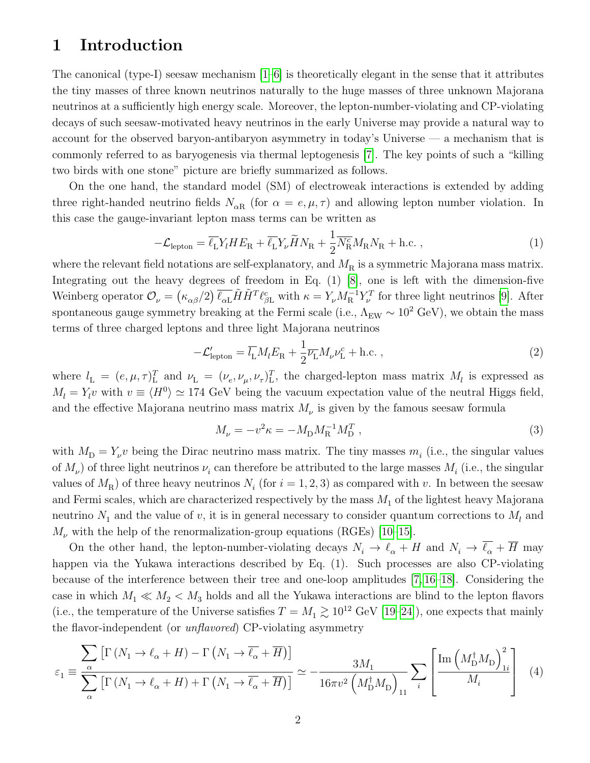# 1 Introduction

The canonical (type-I) seesaw mechanism  $[1-6]$  is theoretically elegant in the sense that it attributes the tiny masses of three known neutrinos naturally to the huge masses of three unknown Majorana neutrinos at a sufficiently high energy scale. Moreover, the lepton-number-violating and CP-violating decays of such seesaw-motivated heavy neutrinos in the early Universe may provide a natural way to account for the observed baryon-antibaryon asymmetry in today's Universe — a mechanism that is commonly referred to as baryogenesis via thermal leptogenesis [\[7\]](#page-12-2). The key points of such a "killing two birds with one stone" picture are briefly summarized as follows.

On the one hand, the standard model (SM) of electroweak interactions is extended by adding three right-handed neutrino fields  $N_{\alpha R}$  (for  $\alpha = e, \mu, \tau$ ) and allowing lepton number violation. In this case the gauge-invariant lepton mass terms can be written as

$$
-\mathcal{L}_{\text{lepton}} = \overline{\ell_{\text{L}}} Y_l H E_{\text{R}} + \overline{\ell_{\text{L}}} Y_{\nu} \widetilde{H} N_{\text{R}} + \frac{1}{2} \overline{N_{\text{R}}^c} M_{\text{R}} N_{\text{R}} + \text{h.c.} \,, \tag{1}
$$

where the relevant field notations are self-explanatory, and  $M_R$  is a symmetric Majorana mass matrix. Integrating out the heavy degrees of freedom in Eq. (1) [\[8\]](#page-12-3), one is left with the dimension-five Weinberg operator  $\mathcal{O}_{\nu} = (\kappa_{\alpha\beta}/2) \, \overline{\ell_{\alpha\mathbf{L}}} \tilde{H} \tilde{H}^T \ell_{\beta\mathbf{L}}^c$  with  $\kappa = Y_{\nu} M_{\rm R}^{-1} Y_{\nu}^T$  for three light neutrinos [\[9\]](#page-12-4). After spontaneous gauge symmetry breaking at the Fermi scale (i.e.,  $\Lambda_{\text{EW}} \sim 10^2 \text{ GeV}$ ), we obtain the mass terms of three charged leptons and three light Majorana neutrinos

$$
-\mathcal{L}'_{\text{lepton}} = \overline{l_{\text{L}}} M_l E_{\text{R}} + \frac{1}{2} \overline{\nu_{\text{L}}} M_\nu \nu_{\text{L}}^c + \text{h.c.} \,, \tag{2}
$$

where  $l_L = (e, \mu, \tau)_{\text{L}}^T$  and  $\nu_L = (\nu_e, \nu_\mu, \nu_\tau)_{\text{L}}^T$ , the charged-lepton mass matrix  $M_l$  is expressed as  $M_l = Y_l v$  with  $v \equiv \langle H^0 \rangle \simeq 174$  GeV being the vacuum expectation value of the neutral Higgs field, and the effective Majorana neutrino mass matrix  $M_{\nu}$  is given by the famous seesaw formula

$$
M_{\nu} = -v^2 \kappa = -M_{\rm D} M_{\rm R}^{-1} M_{\rm D}^T \,, \tag{3}
$$

with  $M_{\rm D} = Y_{\nu} v$  being the Dirac neutrino mass matrix. The tiny masses  $m_i$  (i.e., the singular values of  $M_{\nu}$ ) of three light neutrinos  $\nu_i$  can therefore be attributed to the large masses  $M_i$  (i.e., the singular values of  $M_{\rm R}$ ) of three heavy neutrinos  $N_i$  (for  $i = 1, 2, 3$ ) as compared with v. In between the seesaw and Fermi scales, which are characterized respectively by the mass  $M_1$  of the lightest heavy Majorana neutrino  $N_1$  and the value of v, it is in general necessary to consider quantum corrections to  $M_l$  and  $M_{\nu}$  with the help of the renormalization-group equations (RGEs) [\[10–](#page-12-5)[15\]](#page-12-6).

On the other hand, the lepton-number-violating decays  $N_i \to \ell_\alpha + H$  and  $N_i \to \overline{\ell_\alpha} + \overline{H}$  may happen via the Yukawa interactions described by Eq. (1). Such processes are also CP-violating because of the interference between their tree and one-loop amplitudes [\[7,](#page-12-2) [16–](#page-12-7)[18\]](#page-12-8). Considering the case in which  $M_1 \ll M_2 < M_3$  holds and all the Yukawa interactions are blind to the lepton flavors (i.e., the temperature of the Universe satisfies  $T = M_1 \gtrsim 10^{12} \text{ GeV}$  [\[19](#page-12-9)[–24\]](#page-13-0)), one expects that mainly the flavor-independent (or unflavored) CP-violating asymmetry

$$
\varepsilon_{1} \equiv \frac{\sum_{\alpha} \left[ \Gamma\left(N_{1} \to \ell_{\alpha} + H\right) - \Gamma\left(N_{1} \to \overline{\ell_{\alpha}} + \overline{H}\right) \right]}{\sum_{\alpha} \left[ \Gamma\left(N_{1} \to \ell_{\alpha} + H\right) + \Gamma\left(N_{1} \to \overline{\ell_{\alpha}} + \overline{H}\right) \right]} \simeq -\frac{3M_{1}}{16\pi v^{2} \left(M_{\text{D}}^{\dagger} M_{\text{D}}\right)_{11}} \sum_{i} \left[ \frac{\text{Im}\left(M_{\text{D}}^{\dagger} M_{\text{D}}\right)_{1i}^{2}}{M_{i}} \right] \tag{4}
$$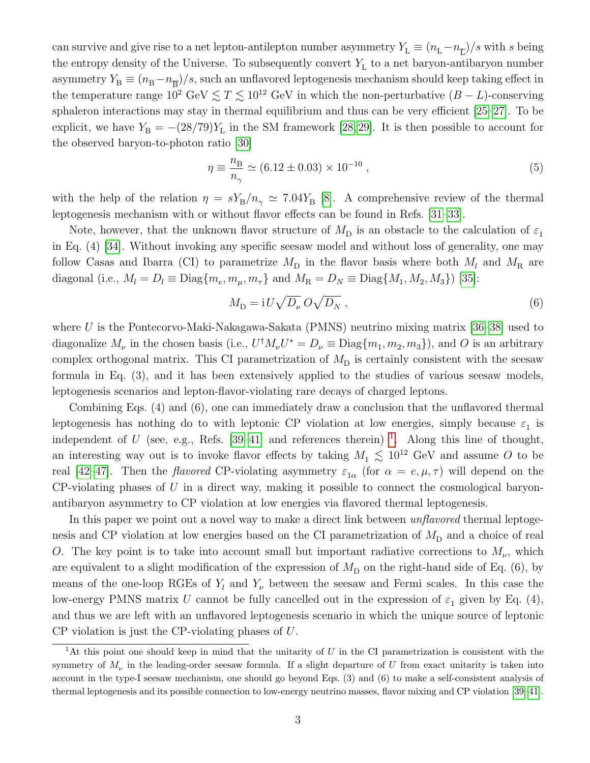can survive and give rise to a net lepton-antilepton number asymmetry  $Y_L \equiv (n_L - n_{\overline{L}})/s$  with s being the entropy density of the Universe. To subsequently convert  $Y<sub>L</sub>$  to a net baryon-antibaryon number asymmetry  $Y_{\text{B}} \equiv (n_{\text{B}} - n_{\overline{\text{B}}})/s$ , such an unflavored leptogenesis mechanism should keep taking effect in the temperature range  $10^2 \text{ GeV} \lesssim T \lesssim 10^{12} \text{ GeV}$  in which the non-perturbative  $(B - L)$ -conserving sphaleron interactions may stay in thermal equilibrium and thus can be very efficient [\[25–](#page-13-1)[27\]](#page-13-2). To be explicit, we have  $Y_{\rm B} = -(28/79)Y_{\rm L}$  in the SM framework [\[28,](#page-13-3) [29\]](#page-13-4). It is then possible to account for the observed baryon-to-photon ratio [\[30\]](#page-13-5)

$$
\eta \equiv \frac{n_{\rm B}}{n_{\gamma}} \simeq (6.12 \pm 0.03) \times 10^{-10} ,\qquad (5)
$$

with the help of the relation  $\eta = sY_B/n_\gamma \simeq 7.04Y_B$  [\[8\]](#page-12-3). A comprehensive review of the thermal leptogenesis mechanism with or without flavor effects can be found in Refs. [\[31–](#page-13-6)[33\]](#page-13-7).

Note, however, that the unknown flavor structure of  $M_{\text{D}}$  is an obstacle to the calculation of  $\varepsilon_1$ in Eq. (4) [\[34\]](#page-13-8). Without invoking any specific seesaw model and without loss of generality, one may follow Casas and Ibarra (CI) to parametrize  $M_{\rm D}$  in the flavor basis where both  $M_l$  and  $M_{\rm R}$  are diagonal (i.e.,  $M_l = D_l \equiv \text{Diag}\{m_e, m_\mu, m_\tau\}$  and  $M_R = D_N \equiv \text{Diag}\{M_1, M_2, M_3\}$ ) [\[35\]](#page-13-9):

$$
M_{\rm D} = i U \sqrt{D_{\nu}} \, O \sqrt{D_N} \,, \tag{6}
$$

where  $U$  is the Pontecorvo-Maki-Nakagawa-Sakata (PMNS) neutrino mixing matrix [\[36–](#page-13-10)[38\]](#page-13-11) used to diagonalize  $M_{\nu}$  in the chosen basis (i.e.,  $U^{\dagger} M_{\nu} U^* = D_{\nu} \equiv \text{Diag}\{m_1, m_2, m_3\}$ ), and O is an arbitrary complex orthogonal matrix. This CI parametrization of  $M_{\rm D}$  is certainly consistent with the seesaw formula in Eq. (3), and it has been extensively applied to the studies of various seesaw models, leptogenesis scenarios and lepton-flavor-violating rare decays of charged leptons.

Combining Eqs. (4) and (6), one can immediately draw a conclusion that the unflavored thermal leptogenesis has nothing do to with leptonic CP violation at low energies, simply because  $\varepsilon_1$  is independent of U (see, e.g., Refs. [\[39–](#page-13-12)[41\]](#page-13-13) and references therein)<sup>[1](#page-2-0)</sup>. Along this line of thought, an interesting way out is to invoke flavor effects by taking  $M_1 \lesssim 10^{12}$  GeV and assume O to be real [\[42–](#page-13-14)[47\]](#page-14-0). Then the *flavored* CP-violating asymmetry  $\varepsilon_{1\alpha}$  (for  $\alpha = e, \mu, \tau$ ) will depend on the  $CP$ -violating phases of  $U$  in a direct way, making it possible to connect the cosmological baryonantibaryon asymmetry to CP violation at low energies via flavored thermal leptogenesis.

In this paper we point out a novel way to make a direct link between *unflavored* thermal leptogenesis and CP violation at low energies based on the CI parametrization of  $M_{\rm D}$  and a choice of real O. The key point is to take into account small but important radiative corrections to  $M_{\nu}$ , which are equivalent to a slight modification of the expression of  $M_D$  on the right-hand side of Eq. (6), by means of the one-loop RGEs of  $Y_l$  and  $Y_{\nu}$  between the seesaw and Fermi scales. In this case the low-energy PMNS matrix U cannot be fully cancelled out in the expression of  $\varepsilon_1$  given by Eq. (4), and thus we are left with an unflavored leptogenesis scenario in which the unique source of leptonic CP violation is just the CP-violating phases of U.

<span id="page-2-0"></span><sup>&</sup>lt;sup>1</sup>At this point one should keep in mind that the unitarity of U in the CI parametrization is consistent with the symmetry of  $M_{\nu}$  in the leading-order seesaw formula. If a slight departure of U from exact unitarity is taken into account in the type-I seesaw mechanism, one should go beyond Eqs. (3) and (6) to make a self-consistent analysis of thermal leptogenesis and its possible connection to low-energy neutrino masses, flavor mixing and CP violation [\[39–](#page-13-12)[41\]](#page-13-13).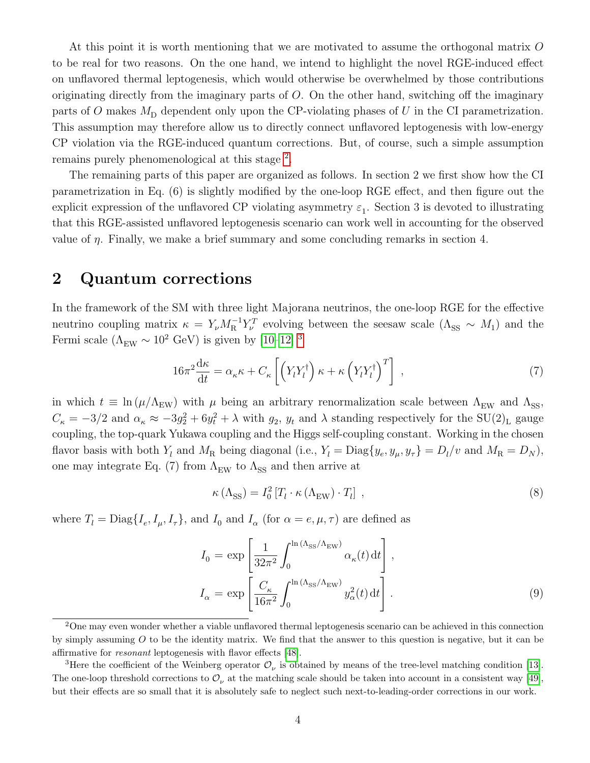At this point it is worth mentioning that we are motivated to assume the orthogonal matrix O to be real for two reasons. On the one hand, we intend to highlight the novel RGE-induced effect on unflavored thermal leptogenesis, which would otherwise be overwhelmed by those contributions originating directly from the imaginary parts of O. On the other hand, switching off the imaginary parts of O makes  $M_D$  dependent only upon the CP-violating phases of U in the CI parametrization. This assumption may therefore allow us to directly connect unflavored leptogenesis with low-energy CP violation via the RGE-induced quantum corrections. But, of course, such a simple assumption remains purely phenomenological at this stage<sup>[2](#page-3-0)</sup>.

The remaining parts of this paper are organized as follows. In section 2 we first show how the CI parametrization in Eq. (6) is slightly modified by the one-loop RGE effect, and then figure out the explicit expression of the unflavored CP violating asymmetry  $\varepsilon_1$ . Section 3 is devoted to illustrating that this RGE-assisted unflavored leptogenesis scenario can work well in accounting for the observed value of  $\eta$ . Finally, we make a brief summary and some concluding remarks in section 4.

#### 2 Quantum corrections

In the framework of the SM with three light Majorana neutrinos, the one-loop RGE for the effective neutrino coupling matrix  $\kappa = Y_{\nu} M_{\rm R}^{-1} Y_{\nu}^T$  evolving between the seesaw scale  $(\Lambda_{\rm SS} \sim M_1)$  and the Fermi scale ( $\Lambda_{\text{EW}} \sim 10^2$  GeV) is given by [\[10–](#page-12-5)[12\]](#page-12-10) <sup>[3](#page-3-1)</sup>

$$
16\pi^2 \frac{d\kappa}{dt} = \alpha_{\kappa} \kappa + C_{\kappa} \left[ \left( Y_l Y_l^{\dagger} \right) \kappa + \kappa \left( Y_l Y_l^{\dagger} \right)^T \right] \,, \tag{7}
$$

in which  $t \equiv \ln(\mu/\Lambda_{\rm EW})$  with  $\mu$  being an arbitrary renormalization scale between  $\Lambda_{\rm EW}$  and  $\Lambda_{\rm SS}$ ,  $C_{\kappa} = -3/2$  and  $\alpha_{\kappa} \approx -3g_2^2 + 6y_t^2 + \lambda$  with  $g_2$ ,  $y_t$  and  $\lambda$  standing respectively for the SU(2)<sub>L</sub> gauge coupling, the top-quark Yukawa coupling and the Higgs self-coupling constant. Working in the chosen flavor basis with both  $Y_l$  and  $M_R$  being diagonal (i.e.,  $Y_l = \text{Diag}\{y_e, y_\mu, y_\tau\} = D_l/v$  and  $M_R = D_N$ ), one may integrate Eq. (7) from  $\Lambda_{\text{EW}}$  to  $\Lambda_{\text{SS}}$  and then arrive at

$$
\kappa\left(\Lambda_{\rm SS}\right) = I_0^2 \left[T_l \cdot \kappa\left(\Lambda_{\rm EW}\right) \cdot T_l\right] \,,\tag{8}
$$

where  $T_l = \text{Diag}\{I_e, I_\mu, I_\tau\}$ , and  $I_0$  and  $I_\alpha$  (for  $\alpha = e, \mu, \tau$ ) are defined as

$$
I_0 = \exp\left[\frac{1}{32\pi^2} \int_0^{\ln(\Lambda_{\rm SS}/\Lambda_{\rm EW})} \alpha_{\kappa}(t) dt\right],
$$
  

$$
I_\alpha = \exp\left[\frac{C_\kappa}{16\pi^2} \int_0^{\ln(\Lambda_{\rm SS}/\Lambda_{\rm EW})} y_\alpha^2(t) dt\right].
$$
 (9)

<span id="page-3-0"></span><sup>&</sup>lt;sup>2</sup>One may even wonder whether a viable unflavored thermal leptogenesis scenario can be achieved in this connection by simply assuming  $O$  to be the identity matrix. We find that the answer to this question is negative, but it can be affirmative for resonant leptogenesis with flavor effects [\[48\]](#page-14-1).

<span id="page-3-1"></span><sup>&</sup>lt;sup>3</sup>Here the coefficient of the Weinberg operator  $\mathcal{O}_{\nu}$  is obtained by means of the tree-level matching condition [\[13\]](#page-12-11). The one-loop threshold corrections to  $\mathcal{O}_{\nu}$  at the matching scale should be taken into account in a consistent way [\[49\]](#page-14-2), but their effects are so small that it is absolutely safe to neglect such next-to-leading-order corrections in our work.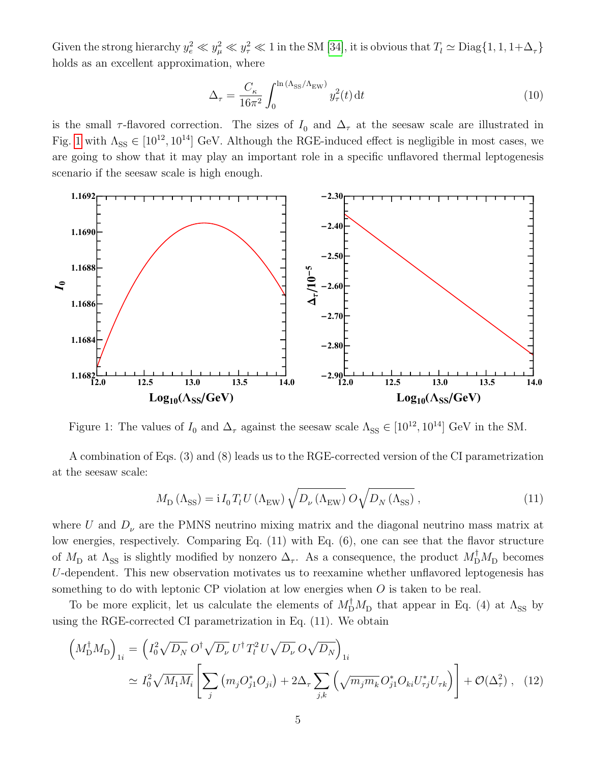Given the strong hierarchy  $y_e^2 \ll y_\mu^2 \ll y_\tau^2 \ll 1$  in the SM [\[34\]](#page-13-8), it is obvious that  $T_l \simeq \text{Diag}\{1, 1, 1+\Delta_\tau\}$ holds as an excellent approximation, where

$$
\Delta_{\tau} = \frac{C_{\kappa}}{16\pi^2} \int_0^{\ln(\Lambda_{\rm SS}/\Lambda_{\rm EW})} y_{\tau}^2(t) dt
$$
\n(10)

is the small  $\tau$ -flavored correction. The sizes of  $I_0$  and  $\Delta_{\tau}$  at the seesaw scale are illustrated in Fig. [1](#page-4-0) with  $\Lambda_{SS} \in [10^{12}, 10^{14}]$  GeV. Although the RGE-induced effect is negligible in most cases, we are going to show that it may play an important role in a specific unflavored thermal leptogenesis scenario if the seesaw scale is high enough.



<span id="page-4-0"></span>Figure 1: The values of  $I_0$  and  $\Delta_{\tau}$  against the seesaw scale  $\Lambda_{SS} \in [10^{12}, 10^{14}]$  GeV in the SM.

A combination of Eqs. (3) and (8) leads us to the RGE-corrected version of the CI parametrization at the seesaw scale:

$$
M_{\rm D} \left( \Lambda_{\rm SS} \right) = i I_0 T_l U \left( \Lambda_{\rm EW} \right) \sqrt{D_\nu \left( \Lambda_{\rm EW} \right)} \, O \sqrt{D_N \left( \Lambda_{\rm SS} \right)} \,, \tag{11}
$$

where U and  $D_{\nu}$  are the PMNS neutrino mixing matrix and the diagonal neutrino mass matrix at low energies, respectively. Comparing Eq. (11) with Eq. (6), one can see that the flavor structure of  $M_{\rm D}$  at  $\Lambda_{\rm SS}$  is slightly modified by nonzero  $\Delta_{\tau}$ . As a consequence, the product  $M_{\rm D}^{\dagger}M_{\rm D}$  becomes U-dependent. This new observation motivates us to reexamine whether unflavored leptogenesis has something to do with leptonic CP violation at low energies when O is taken to be real.

To be more explicit, let us calculate the elements of  $M_{\text{D}}^{\dagger}M_{\text{D}}$  that appear in Eq. (4) at  $\Lambda_{\text{SS}}$  by using the RGE-corrected CI parametrization in Eq. (11). We obtain

$$
\left(M_{\rm D}^{\dagger}M_{\rm D}\right)_{1i} = \left(I_0^2\sqrt{D_N} \,O^{\dagger}\sqrt{D_\nu} \,U^{\dagger}T_l^2U\sqrt{D_\nu} \,O\sqrt{D_N}\right)_{1i}
$$
\n
$$
\simeq I_0^2\sqrt{M_1M_i}\left[\sum_j \left(m_jO_{j1}^*O_{ji}\right) + 2\Delta_\tau \sum_{j,k} \left(\sqrt{m_jm_k} \,O_{j1}^*O_{ki}U_{\tau j}^*U_{\tau k}\right)\right] + \mathcal{O}(\Delta_\tau^2) \,, \tag{12}
$$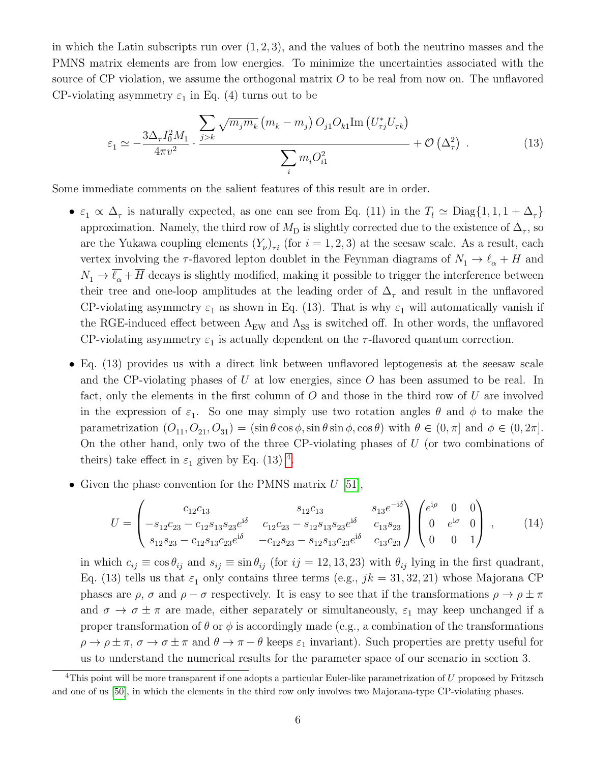in which the Latin subscripts run over  $(1, 2, 3)$ , and the values of both the neutrino masses and the PMNS matrix elements are from low energies. To minimize the uncertainties associated with the source of CP violation, we assume the orthogonal matrix  $O$  to be real from now on. The unflavored CP-violating asymmetry  $\varepsilon_1$  in Eq. (4) turns out to be

$$
\varepsilon_1 \simeq -\frac{3\Delta_{\tau}I_0^2M_1}{4\pi v^2} \cdot \frac{\sum_{j>k} \sqrt{m_j m_k} \left(m_k - m_j\right) O_{j1}O_{k1} \text{Im}\left(U_{\tau j}^* U_{\tau k}\right)}{\sum_i m_i O_{i1}^2} + \mathcal{O}\left(\Delta_{\tau}^2\right) \,. \tag{13}
$$

Some immediate comments on the salient features of this result are in order.

- $\varepsilon_1 \propto \Delta_\tau$  is naturally expected, as one can see from Eq. (11) in the  $T_l \simeq \text{Diag}\{1, 1, 1 + \Delta_\tau\}$ approximation. Namely, the third row of  $M_{\text{D}}$  is slightly corrected due to the existence of  $\Delta_{\tau}$ , so are the Yukawa coupling elements  $(Y_{\nu})_{\tau i}$  (for  $i = 1, 2, 3$ ) at the seesaw scale. As a result, each vertex involving the  $\tau$ -flavored lepton doublet in the Feynman diagrams of  $N_1 \rightarrow \ell_\alpha + H$  and  $N_1 \rightarrow \overline{\ell_{\alpha}} + \overline{H}$  decays is slightly modified, making it possible to trigger the interference between their tree and one-loop amplitudes at the leading order of  $\Delta_{\tau}$  and result in the unflavored CP-violating asymmetry  $\varepsilon_1$  as shown in Eq. (13). That is why  $\varepsilon_1$  will automatically vanish if the RGE-induced effect between  $\Lambda_{\text{EW}}$  and  $\Lambda_{\text{SS}}$  is switched off. In other words, the unflavored CP-violating asymmetry  $\varepsilon_1$  is actually dependent on the  $\tau$ -flavored quantum correction.
- Eq. (13) provides us with a direct link between unflavored leptogenesis at the seesaw scale and the CP-violating phases of U at low energies, since  $O$  has been assumed to be real. In fact, only the elements in the first column of  $O$  and those in the third row of  $U$  are involved in the expression of  $\varepsilon_1$ . So one may simply use two rotation angles  $\theta$  and  $\phi$  to make the parametrization  $(O_{11}, O_{21}, O_{31}) = (\sin \theta \cos \phi, \sin \theta \sin \phi, \cos \theta)$  with  $\theta \in (0, \pi]$  and  $\phi \in (0, 2\pi]$ . On the other hand, only two of the three CP-violating phases of  $U$  (or two combinations of theirs) take effect in  $\varepsilon_1$  given by Eq. (13)<sup>[4](#page-5-0)</sup>.
- Given the phase convention for the PMNS matrix  $U$  [\[51\]](#page-14-3),

$$
U = \begin{pmatrix} c_{12}c_{13} & s_{12}c_{13} & s_{13}e^{-i\delta} \\ -s_{12}c_{23} - c_{12}s_{13}s_{23}e^{i\delta} & c_{12}c_{23} - s_{12}s_{13}s_{23}e^{i\delta} & c_{13}s_{23} \\ s_{12}s_{23} - c_{12}s_{13}c_{23}e^{i\delta} & -c_{12}s_{23} - s_{12}s_{13}c_{23}e^{i\delta} & c_{13}c_{23} \end{pmatrix} \begin{pmatrix} e^{i\rho} & 0 & 0 \\ 0 & e^{i\sigma} & 0 \\ 0 & 0 & 1 \end{pmatrix},
$$
 (14)

in which  $c_{ij} \equiv \cos \theta_{ij}$  and  $s_{ij} \equiv \sin \theta_{ij}$  (for  $ij = 12, 13, 23$ ) with  $\theta_{ij}$  lying in the first quadrant, Eq. (13) tells us that  $\varepsilon_1$  only contains three terms (e.g.,  $jk = 31, 32, 21$ ) whose Majorana CP phases are  $\rho$ ,  $\sigma$  and  $\rho - \sigma$  respectively. It is easy to see that if the transformations  $\rho \to \rho \pm \pi$ and  $\sigma \to \sigma \pm \pi$  are made, either separately or simultaneously,  $\varepsilon_1$  may keep unchanged if a proper transformation of  $\theta$  or  $\phi$  is accordingly made (e.g., a combination of the transformations  $\rho \to \rho \pm \pi$ ,  $\sigma \to \sigma \pm \pi$  and  $\theta \to \pi - \theta$  keeps  $\varepsilon_1$  invariant). Such properties are pretty useful for us to understand the numerical results for the parameter space of our scenario in section 3.

<span id="page-5-0"></span> $4$ This point will be more transparent if one adopts a particular Euler-like parametrization of U proposed by Fritzsch and one of us [\[50\]](#page-14-4), in which the elements in the third row only involves two Majorana-type CP-violating phases.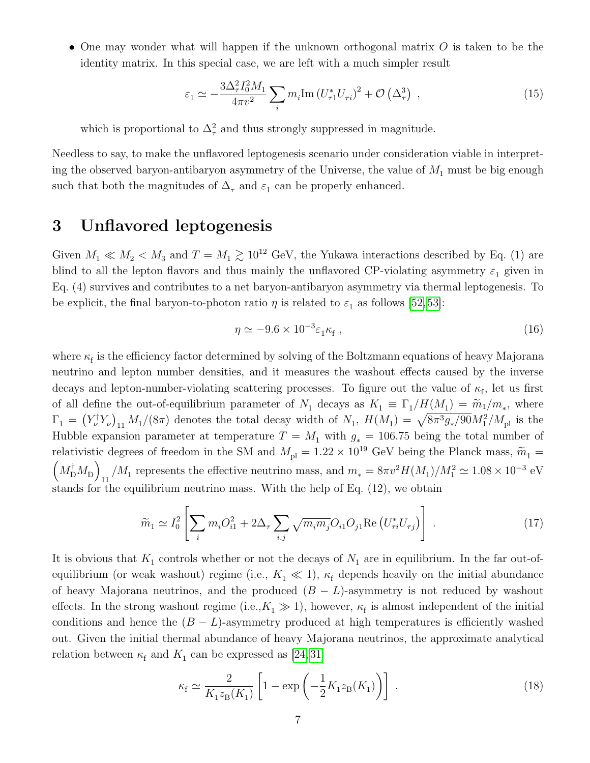• One may wonder what will happen if the unknown orthogonal matrix  $O$  is taken to be the identity matrix. In this special case, we are left with a much simpler result

$$
\varepsilon_1 \simeq -\frac{3\Delta_{\tau}^2 I_0^2 M_1}{4\pi v^2} \sum_i m_i \text{Im} \left( U_{\tau 1}^* U_{\tau i} \right)^2 + \mathcal{O} \left( \Delta_{\tau}^3 \right) , \qquad (15)
$$

which is proportional to  $\Delta^2_{\tau}$  and thus strongly suppressed in magnitude.

Needless to say, to make the unflavored leptogenesis scenario under consideration viable in interpreting the observed baryon-antibaryon asymmetry of the Universe, the value of  $M_1$  must be big enough such that both the magnitudes of  $\Delta_{\tau}$  and  $\varepsilon_1$  can be properly enhanced.

## 3 Unflavored leptogenesis

Given  $M_1 \ll M_2 < M_3$  and  $T = M_1 \gtrsim 10^{12}$  GeV, the Yukawa interactions described by Eq. (1) are blind to all the lepton flavors and thus mainly the unflavored CP-violating asymmetry  $\varepsilon_1$  given in Eq. (4) survives and contributes to a net baryon-antibaryon asymmetry via thermal leptogenesis. To be explicit, the final baryon-to-photon ratio  $\eta$  is related to  $\varepsilon_1$  as follows [\[52,](#page-14-5) [53\]](#page-14-6):

$$
\eta \simeq -9.6 \times 10^{-3} \varepsilon_1 \kappa_f , \qquad (16)
$$

where  $\kappa_f$  is the efficiency factor determined by solving of the Boltzmann equations of heavy Majorana neutrino and lepton number densities, and it measures the washout effects caused by the inverse decays and lepton-number-violating scattering processes. To figure out the value of  $\kappa_{\rm f}$ , let us first of all define the out-of-equilibrium parameter of  $N_1$  decays as  $K_1 \equiv \Gamma_1/H(M_1) = \widetilde{m}_1/m_*$ , where  $\Gamma_1 = (Y_{\nu}^{\dagger} Y_{\nu})_{11} M_1/(8\pi)$  denotes the total decay width of  $N_1$ ,  $H(M_1) = \sqrt{8\pi^3 g_*/90} M_1^2/M_{\rm pl}$  is the Hubble expansion parameter at temperature  $T = M_1$  with  $g_* = 106.75$  being the total number of relativistic degrees of freedom in the SM and  $M_{\text{pl}} = 1.22 \times 10^{19}$  GeV being the Planck mass,  $\tilde{m}_1$  =  $M_{\mathrm{D}}^{\dagger}M_{\mathrm{D}}$  $_{11}$  /M<sub>1</sub> represents the effective neutrino mass, and  $m_* = 8\pi v^2 H(M_1)/M_1^2 \simeq 1.08 \times 10^{-3}$  eV stands for the equilibrium neutrino mass. With the help of Eq. (12), we obtain

$$
\widetilde{m}_1 \simeq I_0^2 \left[ \sum_i m_i O_{i1}^2 + 2\Delta_\tau \sum_{i,j} \sqrt{m_i m_j} O_{i1} O_{j1} \operatorname{Re} \left( U_{\tau i}^* U_{\tau j} \right) \right] \,. \tag{17}
$$

It is obvious that  $K_1$  controls whether or not the decays of  $N_1$  are in equilibrium. In the far out-ofequilibrium (or weak washout) regime (i.e.,  $K_1 \ll 1$ ),  $\kappa_f$  depends heavily on the initial abundance of heavy Majorana neutrinos, and the produced  $(B - L)$ -asymmetry is not reduced by washout effects. In the strong washout regime (i.e., $K_1 \gg 1$ ), however,  $\kappa_f$  is almost independent of the initial conditions and hence the  $(B - L)$ -asymmetry produced at high temperatures is efficiently washed out. Given the initial thermal abundance of heavy Majorana neutrinos, the approximate analytical relation between  $\kappa_{\rm f}$  and  $K_1$  can be expressed as [\[24,](#page-13-0)31]

$$
\kappa_{\rm f} \simeq \frac{2}{K_1 z_{\rm B}(K_1)} \left[ 1 - \exp\left( -\frac{1}{2} K_1 z_{\rm B}(K_1) \right) \right] \,, \tag{18}
$$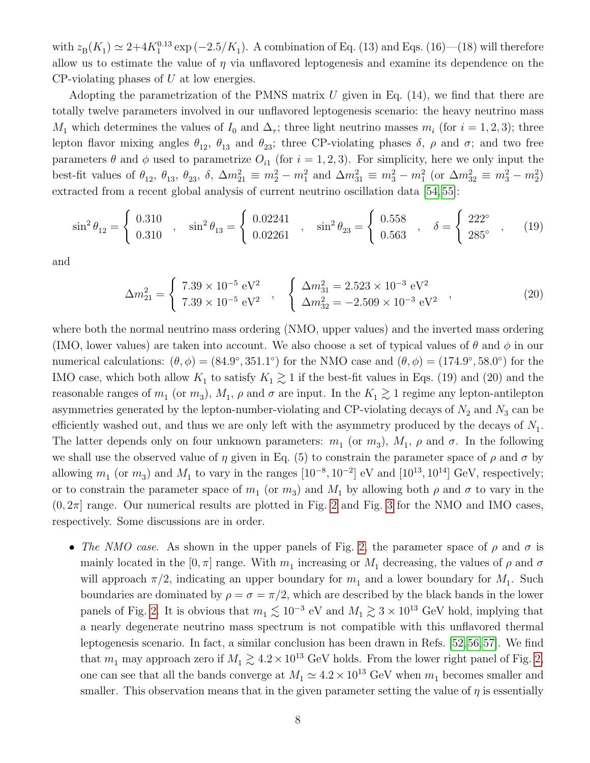with  $z_{\rm B}(K_1) \simeq 2+4K_1^{0.13} \exp(-2.5/K_1)$ . A combination of Eq. (13) and Eqs. (16)–(18) will therefore allow us to estimate the value of  $\eta$  via unflavored leptogenesis and examine its dependence on the  $CP$ -violating phases of  $U$  at low energies.

Adopting the parametrization of the PMNS matrix  $U$  given in Eq. (14), we find that there are totally twelve parameters involved in our unflavored leptogenesis scenario: the heavy neutrino mass  $M_1$  which determines the values of  $I_0$  and  $\Delta_{\tau}$ ; three light neutrino masses  $m_i$  (for  $i = 1, 2, 3$ ); three lepton flavor mixing angles  $\theta_{12}$ ,  $\theta_{13}$  and  $\theta_{23}$ ; three CP-violating phases  $\delta$ ,  $\rho$  and  $\sigma$ ; and two free parameters  $\theta$  and  $\phi$  used to parametrize  $O_{i1}$  (for  $i = 1, 2, 3$ ). For simplicity, here we only input the best-fit values of  $\theta_{12}$ ,  $\theta_{13}$ ,  $\theta_{23}$ ,  $\delta$ ,  $\Delta m_{21}^2 \equiv m_2^2 - m_1^2$  and  $\Delta m_{31}^2 \equiv m_3^2 - m_1^2$  (or  $\Delta m_{32}^2 \equiv m_3^2 - m_2^2$ ) extracted from a recent global analysis of current neutrino oscillation data [\[54,](#page-14-7) [55\]](#page-14-8):

$$
\sin^2 \theta_{12} = \begin{cases} 0.310 \\ 0.310 \end{cases}, \quad \sin^2 \theta_{13} = \begin{cases} 0.02241 \\ 0.02261 \end{cases}, \quad \sin^2 \theta_{23} = \begin{cases} 0.558 \\ 0.563 \end{cases}, \quad \delta = \begin{cases} 222^\circ \\ 285^\circ \end{cases}, \quad (19)
$$

and

$$
\Delta m_{21}^2 = \begin{cases} 7.39 \times 10^{-5} \text{ eV}^2 \\ 7.39 \times 10^{-5} \text{ eV}^2 \end{cases}, \quad \begin{cases} \Delta m_{31}^2 = 2.523 \times 10^{-3} \text{ eV}^2 \\ \Delta m_{32}^2 = -2.509 \times 10^{-3} \text{ eV}^2 \end{cases}, \tag{20}
$$

where both the normal neutrino mass ordering (NMO, upper values) and the inverted mass ordering (IMO, lower values) are taken into account. We also choose a set of typical values of  $\theta$  and  $\phi$  in our numerical calculations:  $(\theta, \phi) = (84.9^{\circ}, 351.1^{\circ})$  for the NMO case and  $(\theta, \phi) = (174.9^{\circ}, 58.0^{\circ})$  for the IMO case, which both allow  $K_1$  to satisfy  $K_1 \gtrsim 1$  if the best-fit values in Eqs. (19) and (20) and the reasonable ranges of  $m_1$  (or  $m_3$ ),  $M_1$ ,  $\rho$  and  $\sigma$  are input. In the  $K_1 \gtrsim 1$  regime any lepton-antilepton asymmetries generated by the lepton-number-violating and CP-violating decays of  $N_2$  and  $N_3$  can be efficiently washed out, and thus we are only left with the asymmetry produced by the decays of  $N_1$ . The latter depends only on four unknown parameters:  $m_1$  (or  $m_3$ ),  $M_1$ ,  $\rho$  and  $\sigma$ . In the following we shall use the observed value of  $\eta$  given in Eq. (5) to constrain the parameter space of  $\rho$  and  $\sigma$  by allowing  $m_1$  (or  $m_3$ ) and  $M_1$  to vary in the ranges  $[10^{-8}, 10^{-2}]$  eV and  $[10^{13}, 10^{14}]$  GeV, respectively; or to constrain the parameter space of  $m_1$  (or  $m_3$ ) and  $M_1$  by allowing both  $\rho$  and  $\sigma$  to vary in the  $(0, 2\pi]$  $(0, 2\pi]$  $(0, 2\pi]$  range. Our numerical results are plotted in Fig. 2 and Fig. [3](#page-9-0) for the NMO and IMO cases, respectively. Some discussions are in order.

• The NMO case. As shown in the upper panels of Fig. [2,](#page-8-0) the parameter space of  $\rho$  and  $\sigma$  is mainly located in the  $[0, \pi]$  range. With  $m_1$  increasing or  $M_1$  decreasing, the values of  $\rho$  and  $\sigma$ will approach  $\pi/2$ , indicating an upper boundary for  $m_1$  and a lower boundary for  $M_1$ . Such boundaries are dominated by  $\rho = \sigma = \pi/2$ , which are described by the black bands in the lower panels of Fig. [2.](#page-8-0) It is obvious that  $m_1 \lesssim 10^{-3}$  eV and  $M_1 \gtrsim 3 \times 10^{13}$  GeV hold, implying that a nearly degenerate neutrino mass spectrum is not compatible with this unflavored thermal leptogenesis scenario. In fact, a similar conclusion has been drawn in Refs. [\[52,](#page-14-5)[56,](#page-14-9)[57\]](#page-14-10). We find that  $m_1$  may approach zero if  $M_1 \gtrsim 4.2 \times 10^{13}$  GeV holds. From the lower right panel of Fig. [2,](#page-8-0) one can see that all the bands converge at  $M_1 \simeq 4.2 \times 10^{13}$  GeV when  $m_1$  becomes smaller and smaller. This observation means that in the given parameter setting the value of  $\eta$  is essentially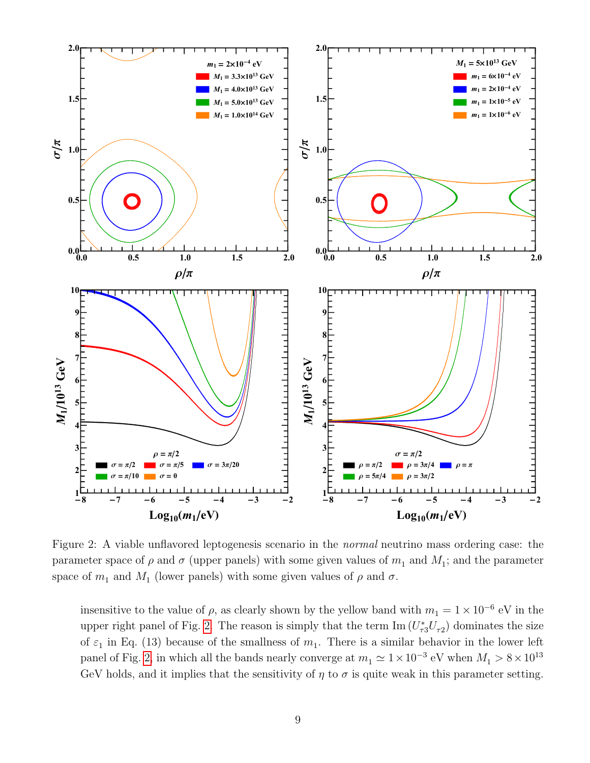

<span id="page-8-0"></span>Figure 2: A viable unflavored leptogenesis scenario in the normal neutrino mass ordering case: the parameter space of  $\rho$  and  $\sigma$  (upper panels) with some given values of  $m_1$  and  $M_1$ ; and the parameter space of  $m_1$  and  $M_1$  (lower panels) with some given values of  $\rho$  and  $\sigma$ .

insensitive to the value of  $\rho$ , as clearly shown by the yellow band with  $m_1 = 1 \times 10^{-6}$  eV in the upper right panel of Fig. [2.](#page-8-0) The reason is simply that the term  $\text{Im}(U_{\tau3}^*U_{\tau2})$  dominates the size of  $\varepsilon_1$  in Eq. (13) because of the smallness of  $m_1$ . There is a similar behavior in the lower left panel of Fig. [2,](#page-8-0) in which all the bands nearly converge at  $m_1 \simeq 1 \times 10^{-3}$  eV when  $M_1 > 8 \times 10^{13}$ GeV holds, and it implies that the sensitivity of  $\eta$  to  $\sigma$  is quite weak in this parameter setting.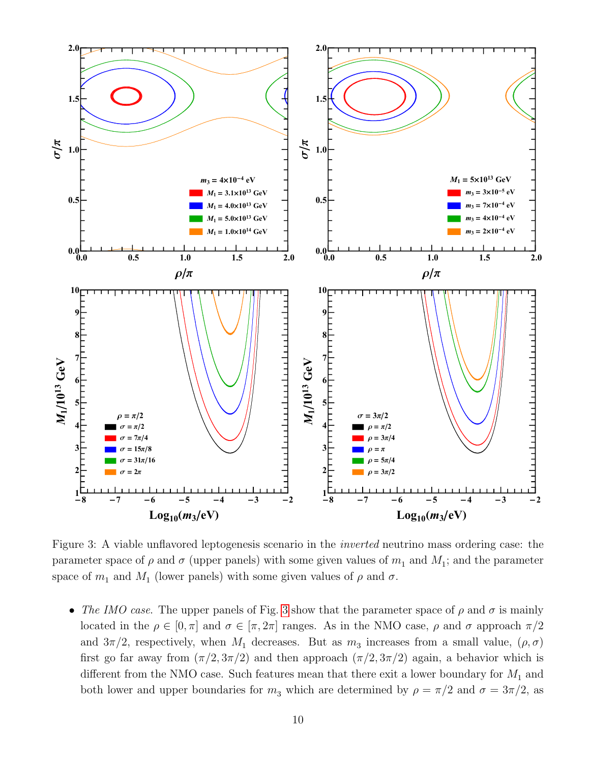

<span id="page-9-0"></span>Figure 3: A viable unflavored leptogenesis scenario in the inverted neutrino mass ordering case: the parameter space of  $\rho$  and  $\sigma$  (upper panels) with some given values of  $m_1$  and  $M_1$ ; and the parameter space of  $m_1$  and  $M_1$  (lower panels) with some given values of  $\rho$  and  $\sigma$ .

• The IMO case. The upper panels of Fig. [3](#page-9-0) show that the parameter space of  $\rho$  and  $\sigma$  is mainly located in the  $\rho \in [0, \pi]$  and  $\sigma \in [\pi, 2\pi]$  ranges. As in the NMO case,  $\rho$  and  $\sigma$  approach  $\pi/2$ and  $3\pi/2$ , respectively, when  $M_1$  decreases. But as  $m_3$  increases from a small value,  $(\rho, \sigma)$ first go far away from  $(\pi/2, 3\pi/2)$  and then approach  $(\pi/2, 3\pi/2)$  again, a behavior which is different from the NMO case. Such features mean that there exit a lower boundary for  $M_1$  and both lower and upper boundaries for  $m_3$  which are determined by  $\rho = \pi/2$  and  $\sigma = 3\pi/2$ , as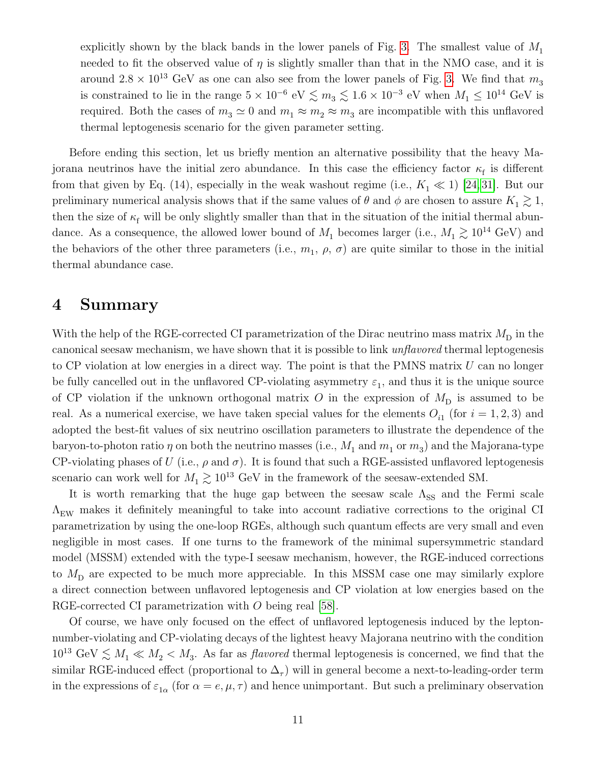explicitly shown by the black bands in the lower panels of Fig. [3.](#page-9-0) The smallest value of  $M_1$ needed to fit the observed value of  $\eta$  is slightly smaller than that in the NMO case, and it is around  $2.8 \times 10^{13}$  GeV as one can also see from the lower panels of Fig. [3.](#page-9-0) We find that  $m_3$ is constrained to lie in the range  $5 \times 10^{-6}$  eV  $\lesssim m_3 \lesssim 1.6 \times 10^{-3}$  eV when  $M_1 \leq 10^{14}$  GeV is required. Both the cases of  $m_3 \simeq 0$  and  $m_1 \approx m_2 \approx m_3$  are incompatible with this unflavored thermal leptogenesis scenario for the given parameter setting.

Before ending this section, let us briefly mention an alternative possibility that the heavy Majorana neutrinos have the initial zero abundance. In this case the efficiency factor  $\kappa_f$  is different from that given by Eq. (14), especially in the weak washout regime (i.e.,  $K_1 \ll 1$ ) [\[24,](#page-13-0) [31\]](#page-13-6). But our preliminary numerical analysis shows that if the same values of  $\theta$  and  $\phi$  are chosen to assure  $K_1 \gtrsim 1$ , then the size of  $\kappa_f$  will be only slightly smaller than that in the situation of the initial thermal abundance. As a consequence, the allowed lower bound of  $M_1$  becomes larger (i.e.,  $M_1 \gtrsim 10^{14}$  GeV) and the behaviors of the other three parameters (i.e.,  $m_1$ ,  $\rho$ ,  $\sigma$ ) are quite similar to those in the initial thermal abundance case.

#### 4 Summary

With the help of the RGE-corrected CI parametrization of the Dirac neutrino mass matrix  $M_{\text{D}}$  in the canonical seesaw mechanism, we have shown that it is possible to link unflavored thermal leptogenesis to CP violation at low energies in a direct way. The point is that the PMNS matrix  $U$  can no longer be fully cancelled out in the unflavored CP-violating asymmetry  $\varepsilon_1$ , and thus it is the unique source of CP violation if the unknown orthogonal matrix O in the expression of  $M_{\rm D}$  is assumed to be real. As a numerical exercise, we have taken special values for the elements  $O_{i1}$  (for  $i = 1, 2, 3$ ) and adopted the best-fit values of six neutrino oscillation parameters to illustrate the dependence of the baryon-to-photon ratio  $\eta$  on both the neutrino masses (i.e.,  $M_1$  and  $m_1$  or  $m_3$ ) and the Majorana-type CP-violating phases of U (i.e.,  $\rho$  and  $\sigma$ ). It is found that such a RGE-assisted unflavored leptogenesis scenario can work well for  $M_1 \gtrsim 10^{13}$  GeV in the framework of the seesaw-extended SM.

It is worth remarking that the huge gap between the seesaw scale  $\Lambda_{SS}$  and the Fermi scale  $\Lambda_{\text{EW}}$  makes it definitely meaningful to take into account radiative corrections to the original CI parametrization by using the one-loop RGEs, although such quantum effects are very small and even negligible in most cases. If one turns to the framework of the minimal supersymmetric standard model (MSSM) extended with the type-I seesaw mechanism, however, the RGE-induced corrections to  $M_{\rm D}$  are expected to be much more appreciable. In this MSSM case one may similarly explore a direct connection between unflavored leptogenesis and CP violation at low energies based on the RGE-corrected CI parametrization with O being real [\[58\]](#page-14-11).

Of course, we have only focused on the effect of unflavored leptogenesis induced by the leptonnumber-violating and CP-violating decays of the lightest heavy Majorana neutrino with the condition  $10^{13} \text{ GeV} \lesssim M_1 \ll M_2 < M_3$ . As far as *flavored* thermal leptogenesis is concerned, we find that the similar RGE-induced effect (proportional to  $\Delta_{\tau}$ ) will in general become a next-to-leading-order term in the expressions of  $\varepsilon_{1\alpha}$  (for  $\alpha = e, \mu, \tau$ ) and hence unimportant. But such a preliminary observation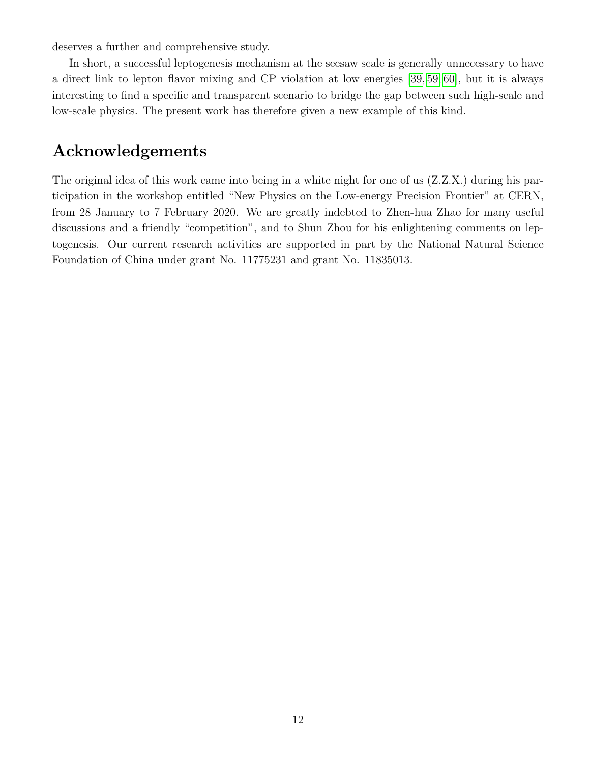deserves a further and comprehensive study.

In short, a successful leptogenesis mechanism at the seesaw scale is generally unnecessary to have a direct link to lepton flavor mixing and CP violation at low energies [\[39,](#page-13-12) [59,](#page-14-12) [60\]](#page-14-13), but it is always interesting to find a specific and transparent scenario to bridge the gap between such high-scale and low-scale physics. The present work has therefore given a new example of this kind.

# Acknowledgements

The original idea of this work came into being in a white night for one of us (Z.Z.X.) during his participation in the workshop entitled "New Physics on the Low-energy Precision Frontier" at CERN, from 28 January to 7 February 2020. We are greatly indebted to Zhen-hua Zhao for many useful discussions and a friendly "competition", and to Shun Zhou for his enlightening comments on leptogenesis. Our current research activities are supported in part by the National Natural Science Foundation of China under grant No. 11775231 and grant No. 11835013.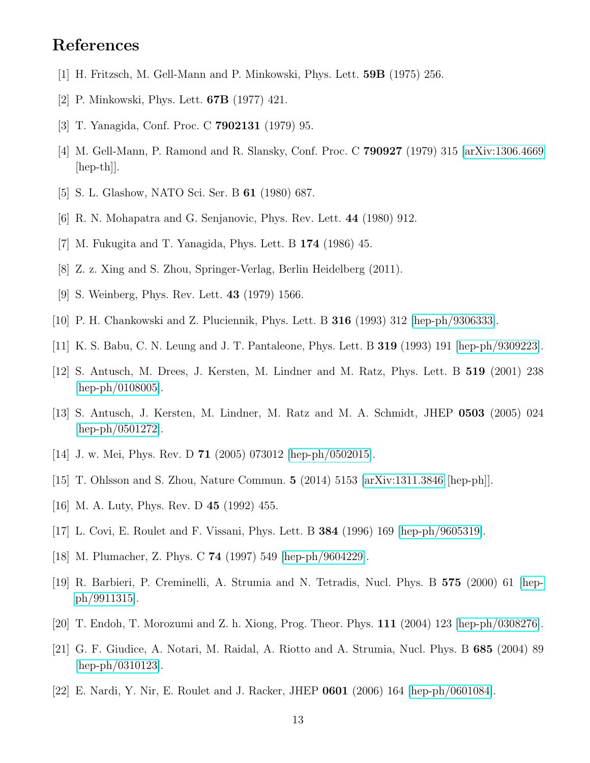## References

- <span id="page-12-0"></span>[1] H. Fritzsch, M. Gell-Mann and P. Minkowski, Phys. Lett. 59B (1975) 256.
- [2] P. Minkowski, Phys. Lett. 67B (1977) 421.
- [3] T. Yanagida, Conf. Proc. C 7902131 (1979) 95.
- [4] M. Gell-Mann, P. Ramond and R. Slansky, Conf. Proc. C 790927 (1979) 315 [\[arXiv:1306.4669](http://arxiv.org/abs/1306.4669) [hep-th]].
- [5] S. L. Glashow, NATO Sci. Ser. B 61 (1980) 687.
- <span id="page-12-1"></span>[6] R. N. Mohapatra and G. Senjanovic, Phys. Rev. Lett. 44 (1980) 912.
- <span id="page-12-2"></span>[7] M. Fukugita and T. Yanagida, Phys. Lett. B 174 (1986) 45.
- <span id="page-12-3"></span>[8] Z. z. Xing and S. Zhou, Springer-Verlag, Berlin Heidelberg (2011).
- <span id="page-12-4"></span>[9] S. Weinberg, Phys. Rev. Lett. 43 (1979) 1566.
- <span id="page-12-5"></span>[10] P. H. Chankowski and Z. Pluciennik, Phys. Lett. B 316 (1993) 312 [\[hep-ph/9306333\]](http://arxiv.org/abs/hep-ph/9306333).
- [11] K. S. Babu, C. N. Leung and J. T. Pantaleone, Phys. Lett. B 319 (1993) 191 [\[hep-ph/9309223\]](http://arxiv.org/abs/hep-ph/9309223).
- <span id="page-12-10"></span>[12] S. Antusch, M. Drees, J. Kersten, M. Lindner and M. Ratz, Phys. Lett. B 519 (2001) 238 [\[hep-ph/0108005\]](http://arxiv.org/abs/hep-ph/0108005).
- <span id="page-12-11"></span>[13] S. Antusch, J. Kersten, M. Lindner, M. Ratz and M. A. Schmidt, JHEP 0503 (2005) 024 [\[hep-ph/0501272\]](http://arxiv.org/abs/hep-ph/0501272).
- [14] J. w. Mei, Phys. Rev. D **71** (2005) 073012 [\[hep-ph/0502015\]](http://arxiv.org/abs/hep-ph/0502015).
- <span id="page-12-6"></span>[15] T. Ohlsson and S. Zhou, Nature Commun. 5 (2014) 5153 [\[arXiv:1311.3846](http://arxiv.org/abs/1311.3846) [hep-ph]].
- <span id="page-12-7"></span>[16] M. A. Luty, Phys. Rev. D 45 (1992) 455.
- [17] L. Covi, E. Roulet and F. Vissani, Phys. Lett. B 384 (1996) 169 [\[hep-ph/9605319\]](http://arxiv.org/abs/hep-ph/9605319).
- <span id="page-12-8"></span>[18] M. Plumacher, Z. Phys. C 74 (1997) 549 [\[hep-ph/9604229\]](http://arxiv.org/abs/hep-ph/9604229).
- <span id="page-12-9"></span>[19] R. Barbieri, P. Creminelli, A. Strumia and N. Tetradis, Nucl. Phys. B 575 (2000) 61 [\[hep](http://arxiv.org/abs/hep-ph/9911315)[ph/9911315\]](http://arxiv.org/abs/hep-ph/9911315).
- [20] T. Endoh, T. Morozumi and Z. h. Xiong, Prog. Theor. Phys. 111 (2004) 123 [\[hep-ph/0308276\]](http://arxiv.org/abs/hep-ph/0308276).
- [21] G. F. Giudice, A. Notari, M. Raidal, A. Riotto and A. Strumia, Nucl. Phys. B 685 (2004) 89  $[hep-ph/0310123]$ .
- [22] E. Nardi, Y. Nir, E. Roulet and J. Racker, JHEP 0601 (2006) 164 [\[hep-ph/0601084\]](http://arxiv.org/abs/hep-ph/0601084).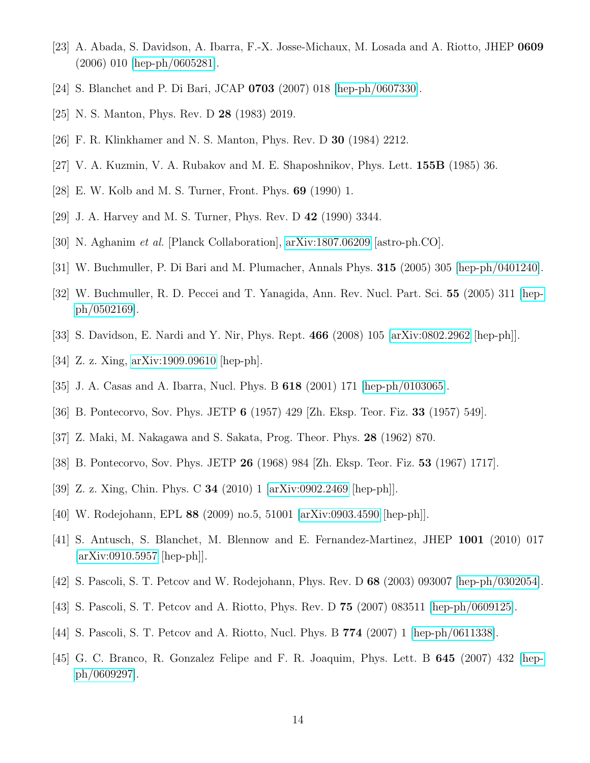- [23] A. Abada, S. Davidson, A. Ibarra, F.-X. Josse-Michaux, M. Losada and A. Riotto, JHEP 0609 (2006) 010 [\[hep-ph/0605281\]](http://arxiv.org/abs/hep-ph/0605281).
- <span id="page-13-0"></span>[24] S. Blanchet and P. Di Bari, JCAP 0703 (2007) 018 [\[hep-ph/0607330\]](http://arxiv.org/abs/hep-ph/0607330).
- <span id="page-13-1"></span>[25] N. S. Manton, Phys. Rev. D 28 (1983) 2019.
- [26] F. R. Klinkhamer and N. S. Manton, Phys. Rev. D 30 (1984) 2212.
- <span id="page-13-2"></span>[27] V. A. Kuzmin, V. A. Rubakov and M. E. Shaposhnikov, Phys. Lett. 155B (1985) 36.
- <span id="page-13-3"></span>[28] E. W. Kolb and M. S. Turner, Front. Phys. 69 (1990) 1.
- <span id="page-13-4"></span>[29] J. A. Harvey and M. S. Turner, Phys. Rev. D 42 (1990) 3344.
- <span id="page-13-5"></span>[30] N. Aghanim et al. [Planck Collaboration], [arXiv:1807.06209](http://arxiv.org/abs/1807.06209) [astro-ph.CO].
- <span id="page-13-6"></span>[31] W. Buchmuller, P. Di Bari and M. Plumacher, Annals Phys. 315 (2005) 305 [\[hep-ph/0401240\]](http://arxiv.org/abs/hep-ph/0401240).
- [32] W. Buchmuller, R. D. Peccei and T. Yanagida, Ann. Rev. Nucl. Part. Sci. 55 (2005) 311 [\[hep](http://arxiv.org/abs/hep-ph/0502169)[ph/0502169\]](http://arxiv.org/abs/hep-ph/0502169).
- <span id="page-13-7"></span>[33] S. Davidson, E. Nardi and Y. Nir, Phys. Rept. 466 (2008) 105 [\[arXiv:0802.2962](http://arxiv.org/abs/0802.2962) [hep-ph]].
- <span id="page-13-8"></span>[34] Z. z. Xing, [arXiv:1909.09610](http://arxiv.org/abs/1909.09610) [hep-ph].
- <span id="page-13-9"></span>[35] J. A. Casas and A. Ibarra, Nucl. Phys. B 618 (2001) 171 [\[hep-ph/0103065\]](http://arxiv.org/abs/hep-ph/0103065).
- <span id="page-13-10"></span>[36] B. Pontecorvo, Sov. Phys. JETP 6 (1957) 429 [Zh. Eksp. Teor. Fiz. 33 (1957) 549].
- [37] Z. Maki, M. Nakagawa and S. Sakata, Prog. Theor. Phys. 28 (1962) 870.
- <span id="page-13-11"></span>[38] B. Pontecorvo, Sov. Phys. JETP 26 (1968) 984 [Zh. Eksp. Teor. Fiz. 53 (1967) 1717].
- <span id="page-13-12"></span>[39] Z. z. Xing, Chin. Phys. C 34 (2010) 1 [\[arXiv:0902.2469](http://arxiv.org/abs/0902.2469) [hep-ph]].
- [40] W. Rodejohann, EPL 88 (2009) no.5, 51001 [\[arXiv:0903.4590](http://arxiv.org/abs/0903.4590) [hep-ph]].
- <span id="page-13-13"></span>[41] S. Antusch, S. Blanchet, M. Blennow and E. Fernandez-Martinez, JHEP 1001 (2010) 017 [\[arXiv:0910.5957](http://arxiv.org/abs/0910.5957) [hep-ph]].
- <span id="page-13-14"></span>[42] S. Pascoli, S. T. Petcov and W. Rodejohann, Phys. Rev. D 68 (2003) 093007 [\[hep-ph/0302054\]](http://arxiv.org/abs/hep-ph/0302054).
- [43] S. Pascoli, S. T. Petcov and A. Riotto, Phys. Rev. D 75 (2007) 083511 [\[hep-ph/0609125\]](http://arxiv.org/abs/hep-ph/0609125).
- [44] S. Pascoli, S. T. Petcov and A. Riotto, Nucl. Phys. B 774 (2007) 1 [\[hep-ph/0611338\]](http://arxiv.org/abs/hep-ph/0611338).
- [45] G. C. Branco, R. Gonzalez Felipe and F. R. Joaquim, Phys. Lett. B 645 (2007) 432 [\[hep](http://arxiv.org/abs/hep-ph/0609297)[ph/0609297\]](http://arxiv.org/abs/hep-ph/0609297).